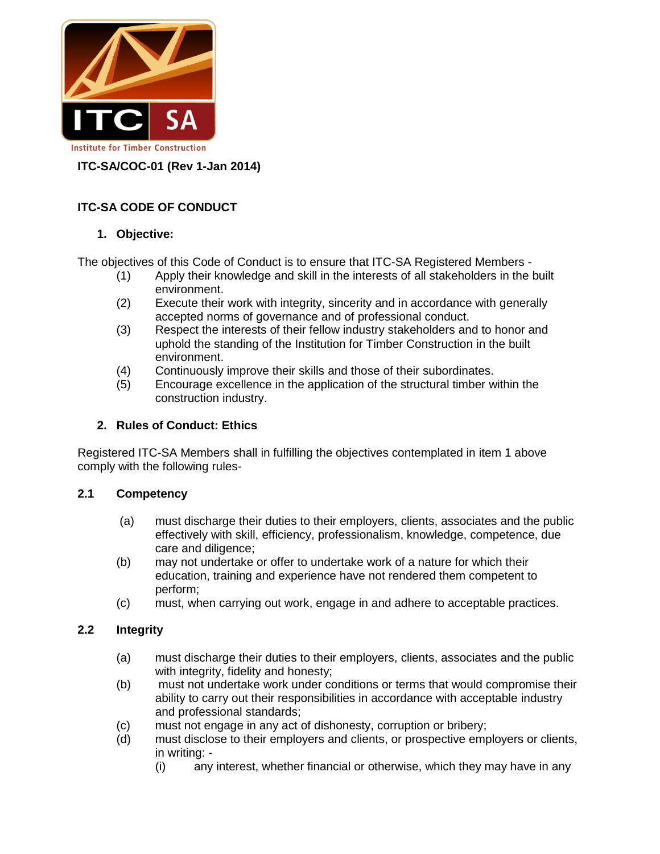

# **ITC-SA/COC-01 (Rev 1-Jan 2014)**

### **ITC-SA CODE OF CONDUCT**

### **1. Objective:**

The objectives of this Code of Conduct is to ensure that ITC-SA Registered Members -

- (1) Apply their knowledge and skill in the interests of all stakeholders in the built environment.
- (2) Execute their work with integrity, sincerity and in accordance with generally accepted norms of governance and of professional conduct.
- (3) Respect the interests of their fellow industry stakeholders and to honor and uphold the standing of the Institution for Timber Construction in the built environment.
- (4) Continuously improve their skills and those of their subordinates.
- (5) Encourage excellence in the application of the structural timber within the construction industry.

#### **2. Rules of Conduct: Ethics**

Registered ITC-SA Members shall in fulfilling the objectives contemplated in item 1 above comply with the following rules-

#### **2.1 Competency**

- (a) must discharge their duties to their employers, clients, associates and the public effectively with skill, efficiency, professionalism, knowledge, competence, due care and diligence;
- (b) may not undertake or offer to undertake work of a nature for which their education, training and experience have not rendered them competent to perform;
- (c) must, when carrying out work, engage in and adhere to acceptable practices.

#### **2.2 Integrity**

- (a) must discharge their duties to their employers, clients, associates and the public with integrity, fidelity and honesty;
- (b) must not undertake work under conditions or terms that would compromise their ability to carry out their responsibilities in accordance with acceptable industry and professional standards;
- (c) must not engage in any act of dishonesty, corruption or bribery;
- (d) must disclose to their employers and clients, or prospective employers or clients, in writing: -
	- (i) any interest, whether financial or otherwise, which they may have in any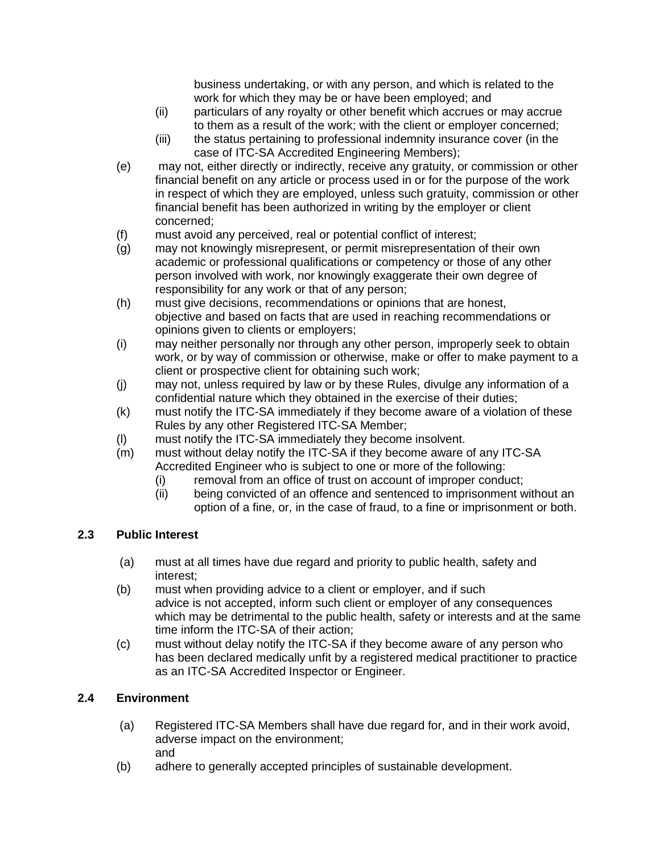business undertaking, or with any person, and which is related to the work for which they may be or have been employed; and

- (ii) particulars of any royalty or other benefit which accrues or may accrue to them as a result of the work; with the client or employer concerned;
- (iii) the status pertaining to professional indemnity insurance cover (in the case of ITC-SA Accredited Engineering Members);
- (e) may not, either directly or indirectly, receive any gratuity, or commission or other financial benefit on any article or process used in or for the purpose of the work in respect of which they are employed, unless such gratuity, commission or other financial benefit has been authorized in writing by the employer or client concerned;
- (f) must avoid any perceived, real or potential conflict of interest;
- (g) may not knowingly misrepresent, or permit misrepresentation of their own academic or professional qualifications or competency or those of any other person involved with work, nor knowingly exaggerate their own degree of responsibility for any work or that of any person;
- (h) must give decisions, recommendations or opinions that are honest, objective and based on facts that are used in reaching recommendations or opinions given to clients or employers;
- (i) may neither personally nor through any other person, improperly seek to obtain work, or by way of commission or otherwise, make or offer to make payment to a client or prospective client for obtaining such work;
- (j) may not, unless required by law or by these Rules, divulge any information of a confidential nature which they obtained in the exercise of their duties;
- (k) must notify the ITC-SA immediately if they become aware of a violation of these Rules by any other Registered ITC-SA Member;
- (l) must notify the ITC-SA immediately they become insolvent.
- (m) must without delay notify the ITC-SA if they become aware of any ITC-SA Accredited Engineer who is subject to one or more of the following:
	- (i) removal from an office of trust on account of improper conduct;
	- (ii) being convicted of an offence and sentenced to imprisonment without an option of a fine, or, in the case of fraud, to a fine or imprisonment or both.

## **2.3 Public Interest**

- (a) must at all times have due regard and priority to public health, safety and interest;
- (b) must when providing advice to a client or employer, and if such advice is not accepted, inform such client or employer of any consequences which may be detrimental to the public health, safety or interests and at the same time inform the ITC-SA of their action;
- (c) must without delay notify the ITC-SA if they become aware of any person who has been declared medically unfit by a registered medical practitioner to practice as an ITC-SA Accredited Inspector or Engineer.

## **2.4 Environment**

- (a) Registered ITC-SA Members shall have due regard for, and in their work avoid, adverse impact on the environment; and
- (b) adhere to generally accepted principles of sustainable development.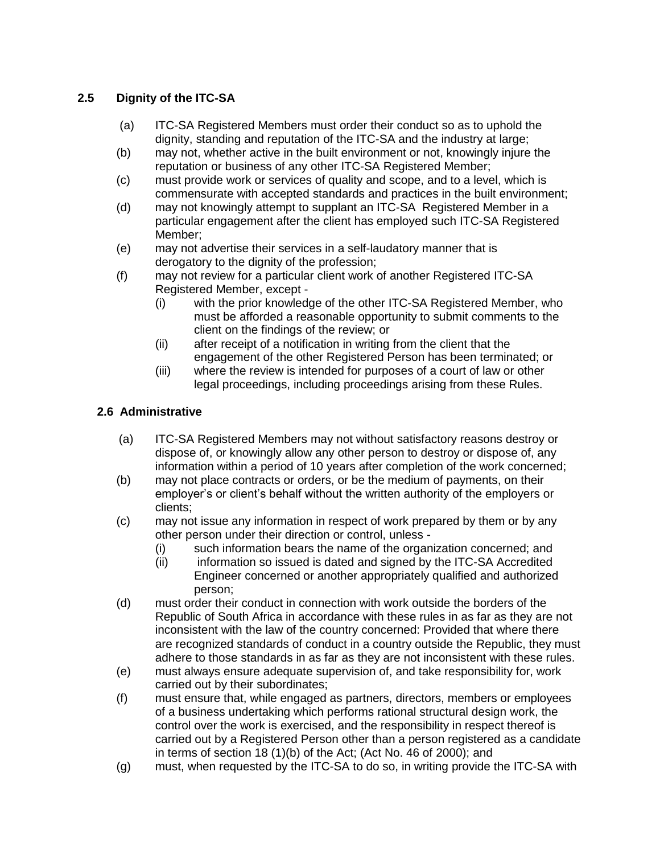### **2.5 Dignity of the ITC-SA**

- (a) ITC-SA Registered Members must order their conduct so as to uphold the dignity, standing and reputation of the ITC-SA and the industry at large;
- (b) may not, whether active in the built environment or not, knowingly injure the reputation or business of any other ITC-SA Registered Member;
- (c) must provide work or services of quality and scope, and to a level, which is commensurate with accepted standards and practices in the built environment;
- (d) may not knowingly attempt to supplant an ITC-SA Registered Member in a particular engagement after the client has employed such ITC-SA Registered Member;
- (e) may not advertise their services in a self-laudatory manner that is derogatory to the dignity of the profession;
- (f) may not review for a particular client work of another Registered ITC-SA Registered Member, except -
	- (i) with the prior knowledge of the other ITC-SA Registered Member, who must be afforded a reasonable opportunity to submit comments to the client on the findings of the review; or
	- (ii) after receipt of a notification in writing from the client that the engagement of the other Registered Person has been terminated; or
	- (iii) where the review is intended for purposes of a court of law or other legal proceedings, including proceedings arising from these Rules.

### **2.6 Administrative**

- (a) ITC-SA Registered Members may not without satisfactory reasons destroy or dispose of, or knowingly allow any other person to destroy or dispose of, any information within a period of 10 years after completion of the work concerned;
- (b) may not place contracts or orders, or be the medium of payments, on their employer's or client's behalf without the written authority of the employers or clients;
- (c) may not issue any information in respect of work prepared by them or by any other person under their direction or control, unless -
	- (i) such information bears the name of the organization concerned; and
	- (ii) information so issued is dated and signed by the ITC-SA Accredited Engineer concerned or another appropriately qualified and authorized person;
- (d) must order their conduct in connection with work outside the borders of the Republic of South Africa in accordance with these rules in as far as they are not inconsistent with the law of the country concerned: Provided that where there are recognized standards of conduct in a country outside the Republic, they must adhere to those standards in as far as they are not inconsistent with these rules.
- (e) must always ensure adequate supervision of, and take responsibility for, work carried out by their subordinates;
- (f) must ensure that, while engaged as partners, directors, members or employees of a business undertaking which performs rational structural design work, the control over the work is exercised, and the responsibility in respect thereof is carried out by a Registered Person other than a person registered as a candidate in terms of section 18 (1)(b) of the Act; (Act No. 46 of 2000); and
- (g) must, when requested by the ITC-SA to do so, in writing provide the ITC-SA with